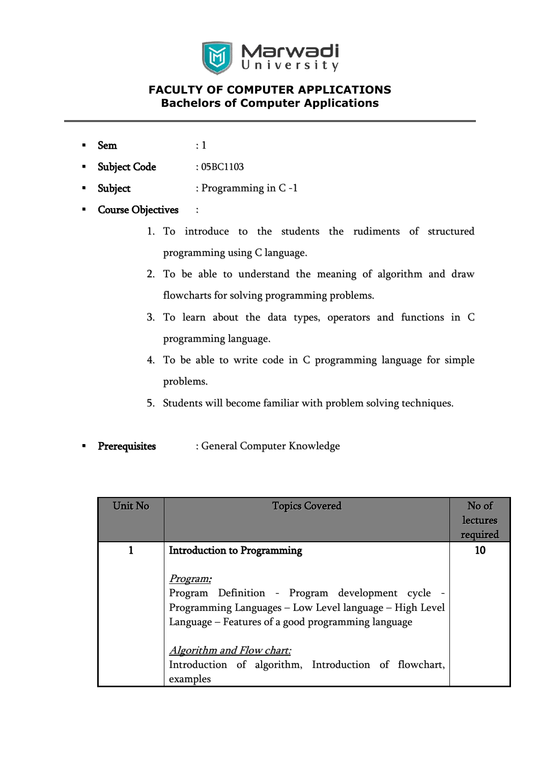

- $Sem$  : 1
- Subject Code : 05BC1103
- Subject : Programming in C-1
- Course Objectives :
	- 1. To introduce to the students the rudiments of structured programming using C language.
	- 2. To be able to understand the meaning of algorithm and draw flowcharts for solving programming problems.
	- 3. To learn about the data types, operators and functions in C programming language.
	- 4. To be able to write code in C programming language for simple problems.
	- 5. Students will become familiar with problem solving techniques.
- Prerequisites : General Computer Knowledge

| Unit No | <b>Topics Covered</b>                                   | No of    |
|---------|---------------------------------------------------------|----------|
|         |                                                         | lectures |
|         |                                                         | required |
|         | <b>Introduction to Programming</b>                      | 10       |
|         |                                                         |          |
|         | <u>Program:</u>                                         |          |
|         | Program Definition - Program development cycle -        |          |
|         | Programming Languages - Low Level language - High Level |          |
|         | Language – Features of a good programming language      |          |
|         |                                                         |          |
|         | Algorithm and Flow chart:                               |          |
|         | Introduction of algorithm, Introduction of flowchart,   |          |
|         | examples                                                |          |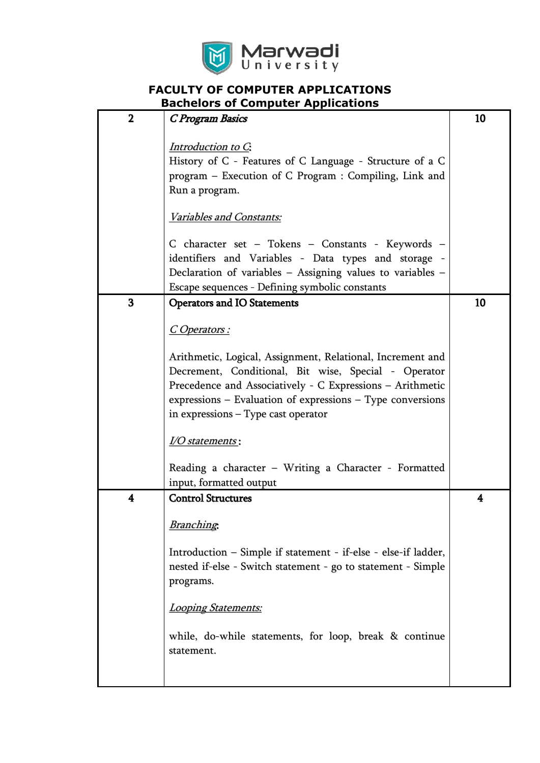

|                | -<br>9991.14PM                                                 |    |
|----------------|----------------------------------------------------------------|----|
| $\overline{2}$ | C Program Basics                                               | 10 |
|                | Introduction to C.                                             |    |
|                | History of C - Features of C Language - Structure of a C       |    |
|                | program - Execution of C Program : Compiling, Link and         |    |
|                | Run a program.                                                 |    |
|                | Variables and Constants:                                       |    |
|                | C character set – Tokens – Constants - Keywords –              |    |
|                | identifiers and Variables - Data types and storage -           |    |
|                | Declaration of variables $-$ Assigning values to variables $-$ |    |
|                | Escape sequences - Defining symbolic constants                 |    |
| 3              | <b>Operators and IO Statements</b>                             | 10 |
|                | <u>C Operators :</u>                                           |    |
|                | Arithmetic, Logical, Assignment, Relational, Increment and     |    |
|                | Decrement, Conditional, Bit wise, Special - Operator           |    |
|                | Precedence and Associatively - C Expressions - Arithmetic      |    |
|                | $expressions - Evaluation of expressions - Type conversions$   |    |
|                | in expressions - Type cast operator                            |    |
|                |                                                                |    |
|                | <u>I/O statements</u> :                                        |    |
|                | Reading a character - Writing a Character - Formatted          |    |
|                | input, formatted output                                        |    |
| 4              | <b>Control Structures</b>                                      | 4  |
|                | <b>Branching</b>                                               |    |
|                | Introduction – Simple if statement - if-else - else-if ladder, |    |
|                | nested if-else - Switch statement - go to statement - Simple   |    |
|                | programs.                                                      |    |
|                | Looping Statements:                                            |    |
|                |                                                                |    |
|                | while, do-while statements, for loop, break & continue         |    |
|                | statement.                                                     |    |
|                |                                                                |    |
|                |                                                                |    |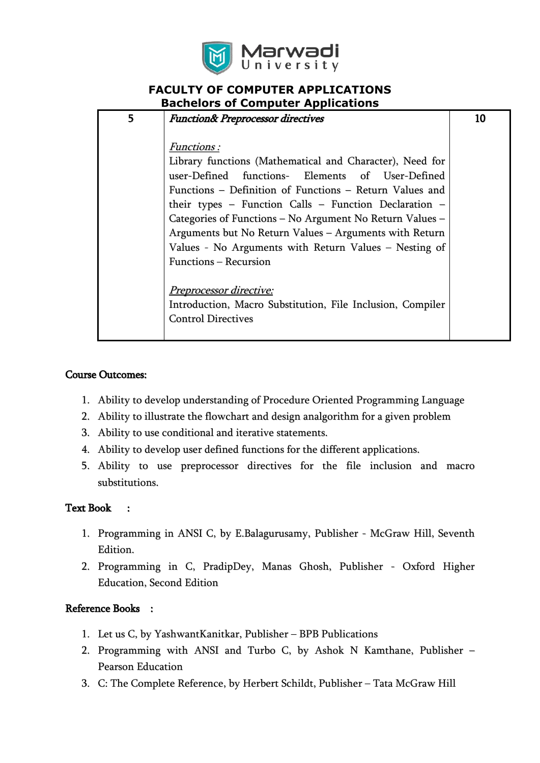

| 5 | <b>Function&amp; Preprocessor directives</b>               | 10 |
|---|------------------------------------------------------------|----|
|   |                                                            |    |
|   | <i>Functions:</i>                                          |    |
|   | Library functions (Mathematical and Character), Need for   |    |
|   | user-Defined functions- Elements of User-Defined           |    |
|   | Functions – Definition of Functions – Return Values and    |    |
|   | their types - Function Calls - Function Declaration -      |    |
|   | Categories of Functions – No Argument No Return Values –   |    |
|   | Arguments but No Return Values – Arguments with Return     |    |
|   | Values - No Arguments with Return Values – Nesting of      |    |
|   | Functions – Recursion                                      |    |
|   |                                                            |    |
|   | <u>Preprocessor directive:</u>                             |    |
|   | Introduction, Macro Substitution, File Inclusion, Compiler |    |
|   | <b>Control Directives</b>                                  |    |
|   |                                                            |    |

#### Course Outcomes:

- 1. Ability to develop understanding of Procedure Oriented Programming Language
- 2. Ability to illustrate the flowchart and design analgorithm for a given problem
- 3. Ability to use conditional and iterative statements.
- 4. Ability to develop user defined functions for the different applications.
- 5. Ability to use preprocessor directives for the file inclusion and macro substitutions.

### Text Book :

- 1. Programming in ANSI C, by E.Balagurusamy, Publisher McGraw Hill, Seventh Edition.
- 2. Programming in C, PradipDey, Manas Ghosh, Publisher Oxford Higher Education, Second Edition

#### Reference Books :

- 1. Let us C, by YashwantKanitkar, Publisher BPB Publications
- 2. Programming with ANSI and Turbo C, by Ashok N Kamthane, Publisher Pearson Education
- 3. C: The Complete Reference, by Herbert Schildt, Publisher Tata McGraw Hill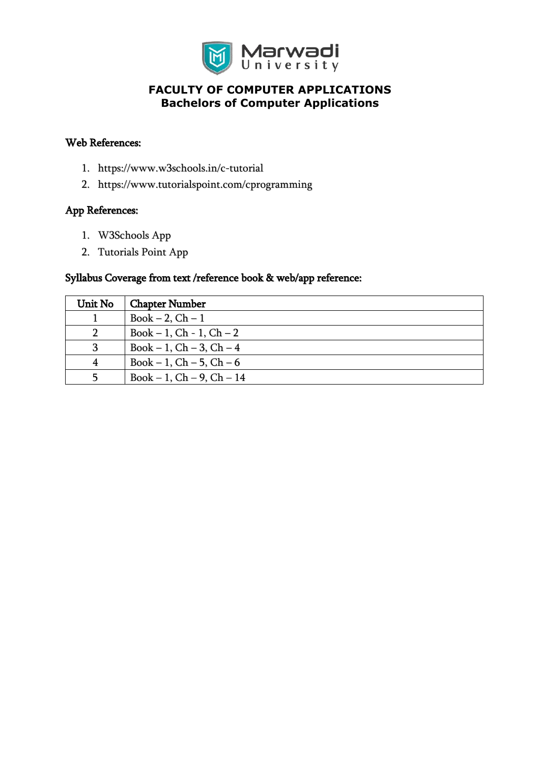

#### Web References:

- 1. https://www.w3schools.in/c-tutorial
- 2. https://www.tutorialspoint.com/cprogramming

#### App References:

- 1. W3Schools App
- 2. Tutorials Point App

### Syllabus Coverage from text /reference book & web/app reference:

| Unit No | <b>Chapter Number</b>         |
|---------|-------------------------------|
|         | Book $-2$ , Ch $-1$           |
|         | $Book - 1, Ch - 1, Ch - 2$    |
| 3       | $Book - 1, Ch - 3, Ch - 4$    |
|         | Book – 1, $Ch - 5$ , $Ch - 6$ |
|         | $Book - 1, Ch - 9, Ch - 14$   |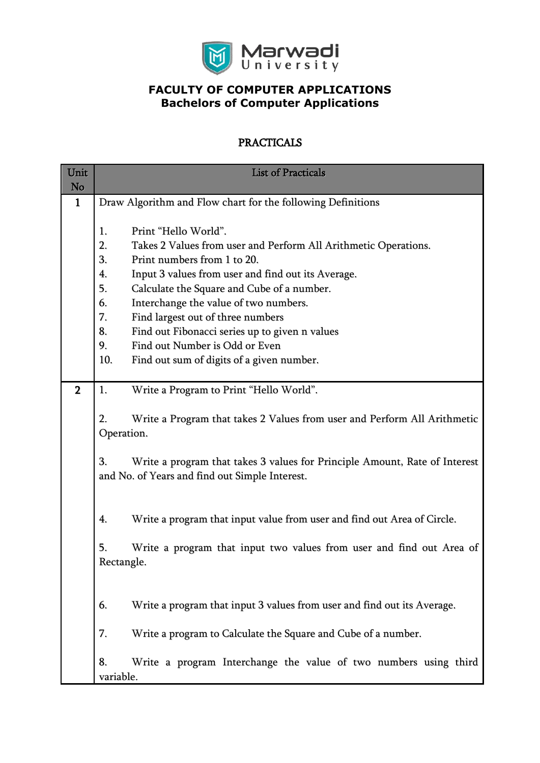

# PRACTICALS

| Unit<br>No     | <b>List of Practicals</b>                                                                           |  |  |  |  |
|----------------|-----------------------------------------------------------------------------------------------------|--|--|--|--|
| $\mathbf{1}$   | Draw Algorithm and Flow chart for the following Definitions                                         |  |  |  |  |
|                |                                                                                                     |  |  |  |  |
|                | Print "Hello World".<br>1.<br>2.<br>Takes 2 Values from user and Perform All Arithmetic Operations. |  |  |  |  |
|                | 3.<br>Print numbers from 1 to 20.                                                                   |  |  |  |  |
|                | Input 3 values from user and find out its Average.<br>4.                                            |  |  |  |  |
|                | 5.<br>Calculate the Square and Cube of a number.                                                    |  |  |  |  |
|                | Interchange the value of two numbers.<br>6.                                                         |  |  |  |  |
|                | 7.<br>Find largest out of three numbers                                                             |  |  |  |  |
|                | 8.<br>Find out Fibonacci series up to given n values                                                |  |  |  |  |
|                | Find out Number is Odd or Even<br>9.                                                                |  |  |  |  |
|                | 10.<br>Find out sum of digits of a given number.                                                    |  |  |  |  |
|                |                                                                                                     |  |  |  |  |
| $\overline{2}$ | 1.<br>Write a Program to Print "Hello World".                                                       |  |  |  |  |
|                | 2.                                                                                                  |  |  |  |  |
|                | Write a Program that takes 2 Values from user and Perform All Arithmetic<br>Operation.              |  |  |  |  |
|                |                                                                                                     |  |  |  |  |
|                | 3.<br>Write a program that takes 3 values for Principle Amount, Rate of Interest                    |  |  |  |  |
|                | and No. of Years and find out Simple Interest.                                                      |  |  |  |  |
|                |                                                                                                     |  |  |  |  |
|                |                                                                                                     |  |  |  |  |
|                | 4.<br>Write a program that input value from user and find out Area of Circle.                       |  |  |  |  |
|                |                                                                                                     |  |  |  |  |
|                | 5.<br>Write a program that input two values from user and find out Area of<br>Rectangle.            |  |  |  |  |
|                |                                                                                                     |  |  |  |  |
|                |                                                                                                     |  |  |  |  |
|                | Write a program that input 3 values from user and find out its Average.<br>6.                       |  |  |  |  |
|                |                                                                                                     |  |  |  |  |
|                | 7.<br>Write a program to Calculate the Square and Cube of a number.                                 |  |  |  |  |
|                |                                                                                                     |  |  |  |  |
|                | Write a program Interchange the value of two numbers using third<br>8.                              |  |  |  |  |
|                | variable.                                                                                           |  |  |  |  |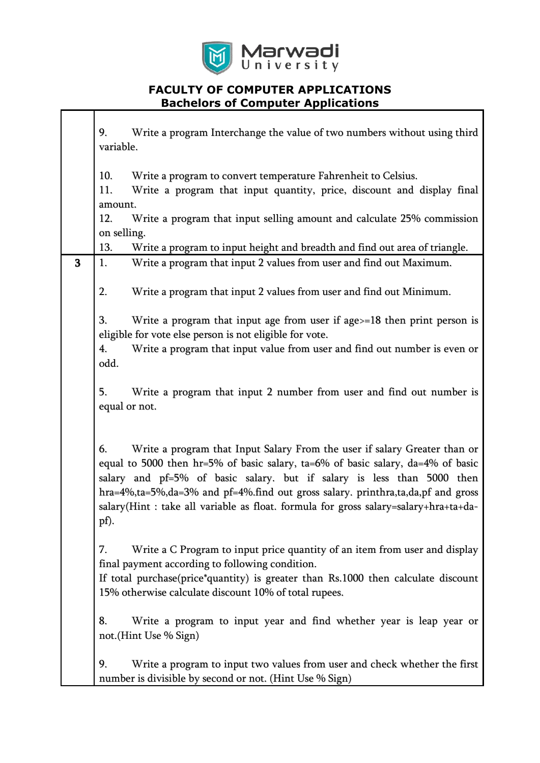

|   | Write a program Interchange the value of two numbers without using third<br>9.                                                                                                                                                                                                                                                                                                                                                    |
|---|-----------------------------------------------------------------------------------------------------------------------------------------------------------------------------------------------------------------------------------------------------------------------------------------------------------------------------------------------------------------------------------------------------------------------------------|
|   | variable.                                                                                                                                                                                                                                                                                                                                                                                                                         |
|   | 10.<br>Write a program to convert temperature Fahrenheit to Celsius.                                                                                                                                                                                                                                                                                                                                                              |
|   | Write a program that input quantity, price, discount and display final<br>11.                                                                                                                                                                                                                                                                                                                                                     |
|   | amount.                                                                                                                                                                                                                                                                                                                                                                                                                           |
|   | 12.<br>Write a program that input selling amount and calculate 25% commission                                                                                                                                                                                                                                                                                                                                                     |
|   | on selling.                                                                                                                                                                                                                                                                                                                                                                                                                       |
|   | 13.<br>Write a program to input height and breadth and find out area of triangle.                                                                                                                                                                                                                                                                                                                                                 |
| 3 | Write a program that input 2 values from user and find out Maximum.<br>1.                                                                                                                                                                                                                                                                                                                                                         |
|   | 2.<br>Write a program that input 2 values from user and find out Minimum.                                                                                                                                                                                                                                                                                                                                                         |
|   | 3.<br>Write a program that input age from user if age $> = 18$ then print person is<br>eligible for vote else person is not eligible for vote.                                                                                                                                                                                                                                                                                    |
|   | Write a program that input value from user and find out number is even or<br>4.                                                                                                                                                                                                                                                                                                                                                   |
|   | odd.                                                                                                                                                                                                                                                                                                                                                                                                                              |
|   |                                                                                                                                                                                                                                                                                                                                                                                                                                   |
|   | 5.<br>Write a program that input 2 number from user and find out number is                                                                                                                                                                                                                                                                                                                                                        |
|   | equal or not.                                                                                                                                                                                                                                                                                                                                                                                                                     |
|   |                                                                                                                                                                                                                                                                                                                                                                                                                                   |
|   | Write a program that Input Salary From the user if salary Greater than or<br>6.<br>equal to 5000 then $hr=5\%$ of basic salary, ta=6% of basic salary, da=4% of basic<br>salary and pf=5% of basic salary. but if salary is less than 5000 then<br>hra=4%,ta=5%,da=3% and pf=4%.find out gross salary. printhra,ta,da,pf and gross<br>salary(Hint: take all variable as float. formula for gross salary=salary+hra+ta+da-<br>pf). |
|   | Write a C Program to input price quantity of an item from user and display<br>7.<br>final payment according to following condition.<br>If total purchase(price*quantity) is greater than Rs.1000 then calculate discount<br>15% otherwise calculate discount 10% of total rupees.                                                                                                                                                 |
|   | 8.<br>Write a program to input year and find whether year is leap year or<br>not.(Hint Use % Sign)                                                                                                                                                                                                                                                                                                                                |
|   | 9.<br>Write a program to input two values from user and check whether the first<br>number is divisible by second or not. (Hint Use % Sign)                                                                                                                                                                                                                                                                                        |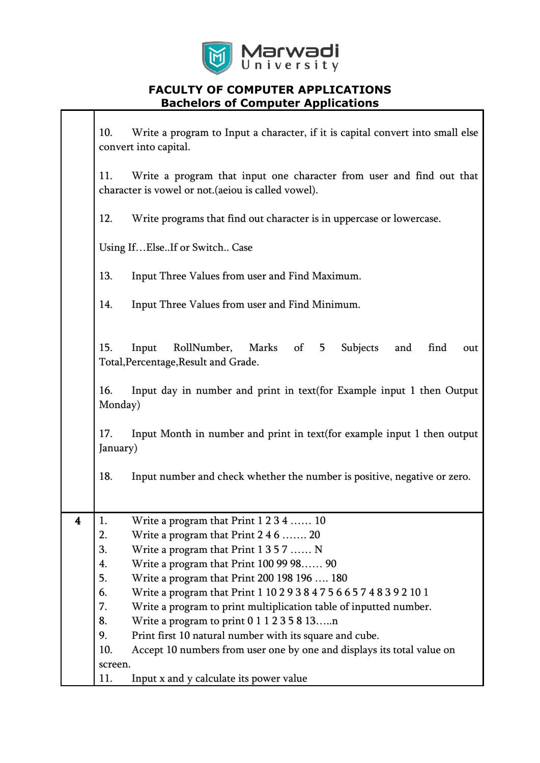

|   | 10.<br>Write a program to Input a character, if it is capital convert into small else<br>convert into capital.                     |                                                                                                  |  |  |  |  |
|---|------------------------------------------------------------------------------------------------------------------------------------|--------------------------------------------------------------------------------------------------|--|--|--|--|
|   | 11.<br>Write a program that input one character from user and find out that<br>character is vowel or not. (aeiou is called vowel). |                                                                                                  |  |  |  |  |
|   | 12.                                                                                                                                | Write programs that find out character is in uppercase or lowercase.                             |  |  |  |  |
|   |                                                                                                                                    | Using IfElseIf or Switch Case                                                                    |  |  |  |  |
|   | 13.                                                                                                                                | Input Three Values from user and Find Maximum.                                                   |  |  |  |  |
|   | 14.<br>Input Three Values from user and Find Minimum.                                                                              |                                                                                                  |  |  |  |  |
|   | 15.<br>RollNumber,<br>Subjects<br>find<br>Input<br>Marks of<br>5<br>and<br>out<br>Total, Percentage, Result and Grade.             |                                                                                                  |  |  |  |  |
|   | 16.                                                                                                                                | Input day in number and print in text (for Example input 1 then Output<br>Monday)                |  |  |  |  |
|   | 17.                                                                                                                                | Input Month in number and print in text(for example input 1 then output<br>January)              |  |  |  |  |
|   | 18.                                                                                                                                | Input number and check whether the number is positive, negative or zero.                         |  |  |  |  |
|   |                                                                                                                                    |                                                                                                  |  |  |  |  |
| 4 | 1.                                                                                                                                 | Write a program that Print 1 2 3 4  10                                                           |  |  |  |  |
|   |                                                                                                                                    | 2.<br>Write a program that Print $246$ 20                                                        |  |  |  |  |
|   |                                                                                                                                    | Write a program that Print $1357$ N<br>3.                                                        |  |  |  |  |
|   | 5.                                                                                                                                 | Write a program that Print 100 99 98 90<br>4.                                                    |  |  |  |  |
|   | 6.                                                                                                                                 | Write a program that Print 200 198 196  180                                                      |  |  |  |  |
|   | 7.                                                                                                                                 | Write a program that Print 1 10 2 9 3 8 4 7 5 6 6 5 7 4 8 3 9 2 10 1                             |  |  |  |  |
|   | 8.                                                                                                                                 | Write a program to print multiplication table of inputted number.                                |  |  |  |  |
|   | 9.                                                                                                                                 | Write a program to print $011235813n$<br>Print first 10 natural number with its square and cube. |  |  |  |  |
|   | 10.                                                                                                                                | Accept 10 numbers from user one by one and displays its total value on                           |  |  |  |  |
|   | screen.                                                                                                                            |                                                                                                  |  |  |  |  |
|   | 11.                                                                                                                                | Input x and y calculate its power value                                                          |  |  |  |  |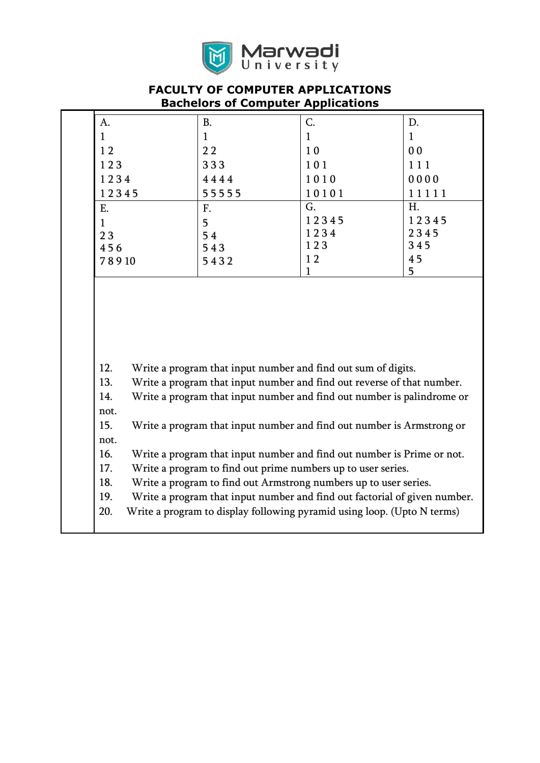

| $\mathbf{1}$<br>$\mathbf{1}$<br>$\mathbf{1}$<br>$\mathbf{1}$<br>22<br>10<br>0 <sub>0</sub><br>12<br>123<br>333<br>101<br>111<br>1234<br>4444<br>1010<br>0000<br>55555<br>12345<br>10101<br>11111<br>G.<br>H.<br>Ε.<br>F.<br>12345<br>12345<br>5<br>$\mathbf{1}$<br>1234<br>2345<br>23<br>54<br>123<br>345<br>456<br>543<br>45<br>12<br>5432<br>78910<br>5<br>1<br>12.<br>Write a program that input number and find out sum of digits.<br>13.<br>Write a program that input number and find out reverse of that number.<br>Write a program that input number and find out number is palindrome or<br>14.<br>not.<br>15.<br>Write a program that input number and find out number is Armstrong or<br>not.<br>16.<br>Write a program that input number and find out number is Prime or not.<br>17.<br>Write a program to find out prime numbers up to user series.<br>18.<br>Write a program to find out Armstrong numbers up to user series.<br>19.<br>Write a program that input number and find out factorial of given number.<br>20.<br>Write a program to display following pyramid using loop. (Upto N terms) | A. | <b>B.</b> | C. | D. |
|-------------------------------------------------------------------------------------------------------------------------------------------------------------------------------------------------------------------------------------------------------------------------------------------------------------------------------------------------------------------------------------------------------------------------------------------------------------------------------------------------------------------------------------------------------------------------------------------------------------------------------------------------------------------------------------------------------------------------------------------------------------------------------------------------------------------------------------------------------------------------------------------------------------------------------------------------------------------------------------------------------------------------------------------------------------------------------------------------------------------|----|-----------|----|----|
|                                                                                                                                                                                                                                                                                                                                                                                                                                                                                                                                                                                                                                                                                                                                                                                                                                                                                                                                                                                                                                                                                                                   |    |           |    |    |
|                                                                                                                                                                                                                                                                                                                                                                                                                                                                                                                                                                                                                                                                                                                                                                                                                                                                                                                                                                                                                                                                                                                   |    |           |    |    |
|                                                                                                                                                                                                                                                                                                                                                                                                                                                                                                                                                                                                                                                                                                                                                                                                                                                                                                                                                                                                                                                                                                                   |    |           |    |    |
|                                                                                                                                                                                                                                                                                                                                                                                                                                                                                                                                                                                                                                                                                                                                                                                                                                                                                                                                                                                                                                                                                                                   |    |           |    |    |
|                                                                                                                                                                                                                                                                                                                                                                                                                                                                                                                                                                                                                                                                                                                                                                                                                                                                                                                                                                                                                                                                                                                   |    |           |    |    |
|                                                                                                                                                                                                                                                                                                                                                                                                                                                                                                                                                                                                                                                                                                                                                                                                                                                                                                                                                                                                                                                                                                                   |    |           |    |    |
|                                                                                                                                                                                                                                                                                                                                                                                                                                                                                                                                                                                                                                                                                                                                                                                                                                                                                                                                                                                                                                                                                                                   |    |           |    |    |
|                                                                                                                                                                                                                                                                                                                                                                                                                                                                                                                                                                                                                                                                                                                                                                                                                                                                                                                                                                                                                                                                                                                   |    |           |    |    |
|                                                                                                                                                                                                                                                                                                                                                                                                                                                                                                                                                                                                                                                                                                                                                                                                                                                                                                                                                                                                                                                                                                                   |    |           |    |    |
|                                                                                                                                                                                                                                                                                                                                                                                                                                                                                                                                                                                                                                                                                                                                                                                                                                                                                                                                                                                                                                                                                                                   |    |           |    |    |
|                                                                                                                                                                                                                                                                                                                                                                                                                                                                                                                                                                                                                                                                                                                                                                                                                                                                                                                                                                                                                                                                                                                   |    |           |    |    |
|                                                                                                                                                                                                                                                                                                                                                                                                                                                                                                                                                                                                                                                                                                                                                                                                                                                                                                                                                                                                                                                                                                                   |    |           |    |    |
|                                                                                                                                                                                                                                                                                                                                                                                                                                                                                                                                                                                                                                                                                                                                                                                                                                                                                                                                                                                                                                                                                                                   |    |           |    |    |
|                                                                                                                                                                                                                                                                                                                                                                                                                                                                                                                                                                                                                                                                                                                                                                                                                                                                                                                                                                                                                                                                                                                   |    |           |    |    |
|                                                                                                                                                                                                                                                                                                                                                                                                                                                                                                                                                                                                                                                                                                                                                                                                                                                                                                                                                                                                                                                                                                                   |    |           |    |    |
|                                                                                                                                                                                                                                                                                                                                                                                                                                                                                                                                                                                                                                                                                                                                                                                                                                                                                                                                                                                                                                                                                                                   |    |           |    |    |
|                                                                                                                                                                                                                                                                                                                                                                                                                                                                                                                                                                                                                                                                                                                                                                                                                                                                                                                                                                                                                                                                                                                   |    |           |    |    |
|                                                                                                                                                                                                                                                                                                                                                                                                                                                                                                                                                                                                                                                                                                                                                                                                                                                                                                                                                                                                                                                                                                                   |    |           |    |    |